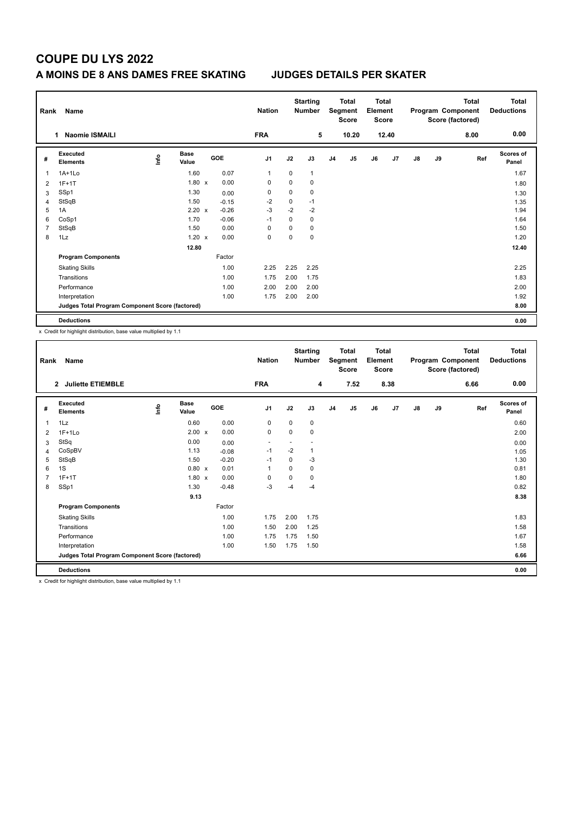# **COUPE DU LYS 2022**

### **A MOINS DE 8 ANS DAMES FREE SKATING JUDGES DETAILS PER SKATER**

| Rank           | Name                                            |      |                      |  | <b>Nation</b> | <b>Starting</b><br><b>Number</b> |      | <b>Total</b><br>Segment<br>Score |                | <b>Total</b><br>Element<br><b>Score</b> |    | Program Component<br>Score (factored) |    | <b>Total</b> | <b>Total</b><br><b>Deductions</b> |                    |
|----------------|-------------------------------------------------|------|----------------------|--|---------------|----------------------------------|------|----------------------------------|----------------|-----------------------------------------|----|---------------------------------------|----|--------------|-----------------------------------|--------------------|
|                | <b>Naomie ISMAILI</b>                           |      |                      |  |               | <b>FRA</b>                       |      | 5                                |                | 10.20                                   |    | 12.40                                 |    |              | 8.00                              | 0.00               |
| #              | <b>Executed</b><br><b>Elements</b>              | lnfo | <b>Base</b><br>Value |  | <b>GOE</b>    | J <sub>1</sub>                   | J2   | J3                               | J <sub>4</sub> | J <sub>5</sub>                          | J6 | J7                                    | J8 | J9           | Ref                               | Scores of<br>Panel |
| 1              | $1A+1Lo$                                        |      | 1.60                 |  | 0.07          | $\mathbf 1$                      | 0    | 1                                |                |                                         |    |                                       |    |              |                                   | 1.67               |
| $\overline{2}$ | $1F+1T$                                         |      | $1.80 \times$        |  | 0.00          | 0                                | 0    | 0                                |                |                                         |    |                                       |    |              |                                   | 1.80               |
| 3              | SSp1                                            |      | 1.30                 |  | 0.00          | 0                                | 0    | 0                                |                |                                         |    |                                       |    |              |                                   | 1.30               |
| 4              | StSqB                                           |      | 1.50                 |  | $-0.15$       | $-2$                             | 0    | $-1$                             |                |                                         |    |                                       |    |              |                                   | 1.35               |
| 5              | 1A                                              |      | $2.20 \times$        |  | $-0.26$       | $-3$                             | $-2$ | $-2$                             |                |                                         |    |                                       |    |              |                                   | 1.94               |
| 6              | CoSp1                                           |      | 1.70                 |  | $-0.06$       | $-1$                             | 0    | 0                                |                |                                         |    |                                       |    |              |                                   | 1.64               |
| 7              | StSqB                                           |      | 1.50                 |  | 0.00          | 0                                | 0    | 0                                |                |                                         |    |                                       |    |              |                                   | 1.50               |
| 8              | 1Lz                                             |      | $1.20 \times$        |  | 0.00          | 0                                | 0    | 0                                |                |                                         |    |                                       |    |              |                                   | 1.20               |
|                |                                                 |      | 12.80                |  |               |                                  |      |                                  |                |                                         |    |                                       |    |              |                                   | 12.40              |
|                | <b>Program Components</b>                       |      |                      |  | Factor        |                                  |      |                                  |                |                                         |    |                                       |    |              |                                   |                    |
|                | <b>Skating Skills</b>                           |      |                      |  | 1.00          | 2.25                             | 2.25 | 2.25                             |                |                                         |    |                                       |    |              |                                   | 2.25               |
|                | Transitions                                     |      |                      |  | 1.00          | 1.75                             | 2.00 | 1.75                             |                |                                         |    |                                       |    |              |                                   | 1.83               |
|                | Performance                                     |      |                      |  | 1.00          | 2.00                             | 2.00 | 2.00                             |                |                                         |    |                                       |    |              |                                   | 2.00               |
|                | Interpretation                                  |      |                      |  | 1.00          | 1.75                             | 2.00 | 2.00                             |                |                                         |    |                                       |    |              |                                   | 1.92               |
|                | Judges Total Program Component Score (factored) |      |                      |  |               |                                  |      |                                  |                |                                         |    |                                       |    |              |                                   | 8.00               |
|                | <b>Deductions</b>                               |      |                      |  |               |                                  |      |                                  |                |                                         |    |                                       |    |              |                                   | 0.00               |

x Credit for highlight distribution, base value multiplied by 1.1

| Rank           | Name                                            |             |                      |         | <b>Nation</b>            |          | <b>Starting</b><br><b>Number</b> |                | <b>Total</b><br>Segment<br><b>Score</b> | <b>Total</b><br>Element<br>Score |      |               |    | <b>Total</b><br>Program Component<br>Score (factored) | <b>Total</b><br><b>Deductions</b> |
|----------------|-------------------------------------------------|-------------|----------------------|---------|--------------------------|----------|----------------------------------|----------------|-----------------------------------------|----------------------------------|------|---------------|----|-------------------------------------------------------|-----------------------------------|
|                | <b>Juliette ETIEMBLE</b><br>$\overline{2}$      |             |                      |         | <b>FRA</b>               |          | 4                                |                | 7.52                                    |                                  | 8.38 |               |    | 6.66                                                  | 0.00                              |
| #              | Executed<br><b>Elements</b>                     | <u>info</u> | <b>Base</b><br>Value | GOE     | J1                       | J2       | J3                               | J <sub>4</sub> | J5                                      | J6                               | J7   | $\mathsf{J}8$ | J9 | Ref                                                   | <b>Scores of</b><br>Panel         |
| 1              | 1Lz                                             |             | 0.60                 | 0.00    | $\pmb{0}$                | $\Omega$ | $\mathbf 0$                      |                |                                         |                                  |      |               |    |                                                       | 0.60                              |
| 2              | $1F+1Lo$                                        |             | $2.00 \times$        | 0.00    | $\mathbf 0$              | 0        | 0                                |                |                                         |                                  |      |               |    |                                                       | 2.00                              |
| 3              | StSq                                            |             | 0.00                 | 0.00    | $\overline{\phantom{a}}$ |          |                                  |                |                                         |                                  |      |               |    |                                                       | 0.00                              |
| 4              | CoSpBV                                          |             | 1.13                 | $-0.08$ | $-1$                     | $-2$     | 1                                |                |                                         |                                  |      |               |    |                                                       | 1.05                              |
| 5              | StSqB                                           |             | 1.50                 | $-0.20$ | $-1$                     | $\Omega$ | $-3$                             |                |                                         |                                  |      |               |    |                                                       | 1.30                              |
| 6              | 1S                                              |             | 0.80 x               | 0.01    | $\mathbf{1}$             | $\Omega$ | 0                                |                |                                         |                                  |      |               |    |                                                       | 0.81                              |
| $\overline{7}$ | $1F+1T$                                         |             | $1.80 \times$        | 0.00    | 0                        | 0        | 0                                |                |                                         |                                  |      |               |    |                                                       | 1.80                              |
| 8              | SSp1                                            |             | 1.30                 | $-0.48$ | $-3$                     | $-4$     | $-4$                             |                |                                         |                                  |      |               |    |                                                       | 0.82                              |
|                |                                                 |             | 9.13                 |         |                          |          |                                  |                |                                         |                                  |      |               |    |                                                       | 8.38                              |
|                | <b>Program Components</b>                       |             |                      | Factor  |                          |          |                                  |                |                                         |                                  |      |               |    |                                                       |                                   |
|                | <b>Skating Skills</b>                           |             |                      | 1.00    | 1.75                     | 2.00     | 1.75                             |                |                                         |                                  |      |               |    |                                                       | 1.83                              |
|                | Transitions                                     |             |                      | 1.00    | 1.50                     | 2.00     | 1.25                             |                |                                         |                                  |      |               |    |                                                       | 1.58                              |
|                | Performance                                     |             |                      | 1.00    | 1.75                     | 1.75     | 1.50                             |                |                                         |                                  |      |               |    |                                                       | 1.67                              |
|                | Interpretation                                  |             |                      | 1.00    | 1.50                     | 1.75     | 1.50                             |                |                                         |                                  |      |               |    |                                                       | 1.58                              |
|                | Judges Total Program Component Score (factored) |             |                      |         |                          |          |                                  |                |                                         |                                  |      |               |    |                                                       | 6.66                              |
|                | <b>Deductions</b>                               |             |                      |         |                          |          |                                  |                |                                         |                                  |      |               |    |                                                       | 0.00                              |

x Credit for highlight distribution, base value multiplied by 1.1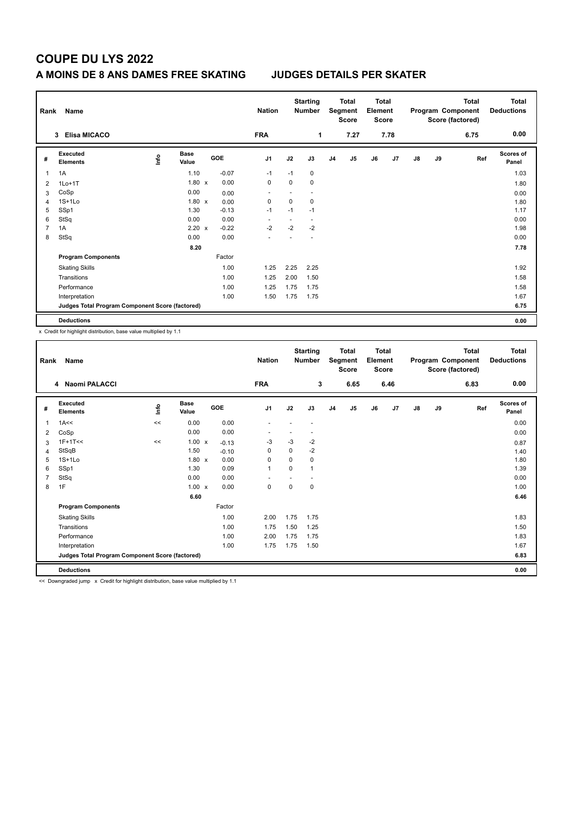# **COUPE DU LYS 2022**

### **A MOINS DE 8 ANS DAMES FREE SKATING JUDGES DETAILS PER SKATER**

| Rank           | Name                                            |      | <b>Nation</b>        |         | <b>Starting</b><br><b>Number</b> | Total<br>Segment<br><b>Score</b> |                          | <b>Total</b><br>Element<br><b>Score</b> |                | Program Component<br>Score (factored) |      | <b>Total</b> | <b>Total</b><br><b>Deductions</b> |      |                    |
|----------------|-------------------------------------------------|------|----------------------|---------|----------------------------------|----------------------------------|--------------------------|-----------------------------------------|----------------|---------------------------------------|------|--------------|-----------------------------------|------|--------------------|
|                | <b>Elisa MICACO</b><br>3                        |      |                      |         | <b>FRA</b>                       |                                  | 1                        |                                         | 7.27           |                                       | 7.78 |              |                                   | 6.75 | 0.00               |
| #              | Executed<br><b>Elements</b>                     | lnfo | <b>Base</b><br>Value | GOE     | J1                               | J2                               | J3                       | J <sub>4</sub>                          | J <sub>5</sub> | J6                                    | J7   | J8           | J9                                | Ref  | Scores of<br>Panel |
| 1              | 1A                                              |      | 1.10                 | $-0.07$ | $-1$                             | $-1$                             | 0                        |                                         |                |                                       |      |              |                                   |      | 1.03               |
| 2              | $1Lo+1T$                                        |      | $1.80 \times$        | 0.00    | 0                                | $\Omega$                         | 0                        |                                         |                |                                       |      |              |                                   |      | 1.80               |
| 3              | CoSp                                            |      | 0.00                 | 0.00    | $\overline{\phantom{a}}$         |                                  |                          |                                         |                |                                       |      |              |                                   |      | 0.00               |
| 4              | $1S+1Lo$                                        |      | $1.80 \times$        | 0.00    | 0                                | $\mathbf 0$                      | 0                        |                                         |                |                                       |      |              |                                   |      | 1.80               |
| 5              | SSp1                                            |      | 1.30                 | $-0.13$ | $-1$                             | $-1$                             | $-1$                     |                                         |                |                                       |      |              |                                   |      | 1.17               |
| 6              | StSq                                            |      | 0.00                 | 0.00    | $\overline{\phantom{a}}$         | ٠                                | $\overline{\phantom{a}}$ |                                         |                |                                       |      |              |                                   |      | 0.00               |
| $\overline{7}$ | 1A                                              |      | $2.20 \times$        | $-0.22$ | $-2$                             | $-2$                             | $-2$                     |                                         |                |                                       |      |              |                                   |      | 1.98               |
| 8              | StSq                                            |      | 0.00                 | 0.00    |                                  |                                  |                          |                                         |                |                                       |      |              |                                   |      | 0.00               |
|                |                                                 |      | 8.20                 |         |                                  |                                  |                          |                                         |                |                                       |      |              |                                   |      | 7.78               |
|                | <b>Program Components</b>                       |      |                      | Factor  |                                  |                                  |                          |                                         |                |                                       |      |              |                                   |      |                    |
|                | <b>Skating Skills</b>                           |      |                      | 1.00    | 1.25                             | 2.25                             | 2.25                     |                                         |                |                                       |      |              |                                   |      | 1.92               |
|                | Transitions                                     |      |                      | 1.00    | 1.25                             | 2.00                             | 1.50                     |                                         |                |                                       |      |              |                                   |      | 1.58               |
|                | Performance                                     |      |                      | 1.00    | 1.25                             | 1.75                             | 1.75                     |                                         |                |                                       |      |              |                                   |      | 1.58               |
|                | Interpretation                                  |      |                      | 1.00    | 1.50                             | 1.75                             | 1.75                     |                                         |                |                                       |      |              |                                   |      | 1.67               |
|                | Judges Total Program Component Score (factored) |      |                      |         |                                  |                                  |                          |                                         |                |                                       |      |              |                                   |      | 6.75               |
|                | <b>Deductions</b>                               |      |                      |         |                                  |                                  |                          |                                         |                |                                       |      |              |                                   |      | 0.00               |

x Credit for highlight distribution, base value multiplied by 1.1

|                | Name<br>Rank                                    |             |                      |         | <b>Starting</b><br><b>Nation</b><br><b>Number</b> |          |      | <b>Total</b><br>Segment<br><b>Score</b> |                | <b>Total</b><br>Element<br>Score |      | Program Component<br>Score (factored) |    | <b>Total</b> | <b>Total</b><br><b>Deductions</b> |
|----------------|-------------------------------------------------|-------------|----------------------|---------|---------------------------------------------------|----------|------|-----------------------------------------|----------------|----------------------------------|------|---------------------------------------|----|--------------|-----------------------------------|
|                | 4 Naomi PALACCI                                 |             |                      |         | <b>FRA</b>                                        |          | 3    |                                         | 6.65           |                                  | 6.46 |                                       |    | 6.83         | 0.00                              |
| #              | Executed<br><b>Elements</b>                     | <u>info</u> | <b>Base</b><br>Value | GOE     | J <sub>1</sub>                                    | J2       | J3   | J <sub>4</sub>                          | J <sub>5</sub> | J6                               | J7   | $\mathsf{J}8$                         | J9 | Ref          | <b>Scores of</b><br>Panel         |
| 1              | 1A<<                                            | $\,<$       | 0.00                 | 0.00    | $\overline{a}$                                    |          | ٠    |                                         |                |                                  |      |                                       |    |              | 0.00                              |
| 2              | CoSp                                            |             | 0.00                 | 0.00    |                                                   |          | ٠    |                                         |                |                                  |      |                                       |    |              | 0.00                              |
| 3              | $1F+1T<<$                                       | $\,<$       | $1.00 \times$        | $-0.13$ | $-3$                                              | $-3$     | $-2$ |                                         |                |                                  |      |                                       |    |              | 0.87                              |
| 4              | StSqB                                           |             | 1.50                 | $-0.10$ | 0                                                 | 0        | $-2$ |                                         |                |                                  |      |                                       |    |              | 1.40                              |
| 5              | $1S+1Lo$                                        |             | $1.80 \times$        | 0.00    | $\Omega$                                          | $\Omega$ | 0    |                                         |                |                                  |      |                                       |    |              | 1.80                              |
| 6              | SSp1                                            |             | 1.30                 | 0.09    | $\mathbf{1}$                                      | $\Omega$ | 1    |                                         |                |                                  |      |                                       |    |              | 1.39                              |
| $\overline{7}$ | StSq                                            |             | 0.00                 | 0.00    |                                                   |          |      |                                         |                |                                  |      |                                       |    |              | 0.00                              |
| 8              | 1F                                              |             | $1.00 \times$        | 0.00    | 0                                                 | 0        | 0    |                                         |                |                                  |      |                                       |    |              | 1.00                              |
|                |                                                 |             | 6.60                 |         |                                                   |          |      |                                         |                |                                  |      |                                       |    |              | 6.46                              |
|                | <b>Program Components</b>                       |             |                      | Factor  |                                                   |          |      |                                         |                |                                  |      |                                       |    |              |                                   |
|                | <b>Skating Skills</b>                           |             |                      | 1.00    | 2.00                                              | 1.75     | 1.75 |                                         |                |                                  |      |                                       |    |              | 1.83                              |
|                | Transitions                                     |             |                      | 1.00    | 1.75                                              | 1.50     | 1.25 |                                         |                |                                  |      |                                       |    |              | 1.50                              |
|                | Performance                                     |             |                      | 1.00    | 2.00                                              | 1.75     | 1.75 |                                         |                |                                  |      |                                       |    |              | 1.83                              |
|                | Interpretation                                  |             |                      | 1.00    | 1.75                                              | 1.75     | 1.50 |                                         |                |                                  |      |                                       |    |              | 1.67                              |
|                | Judges Total Program Component Score (factored) |             |                      |         |                                                   |          |      |                                         |                |                                  |      |                                       |    |              | 6.83                              |
|                | <b>Deductions</b>                               |             |                      |         |                                                   |          |      |                                         |                |                                  |      |                                       |    |              | 0.00                              |

<< Downgraded jump x Credit for highlight distribution, base value multiplied by 1.1